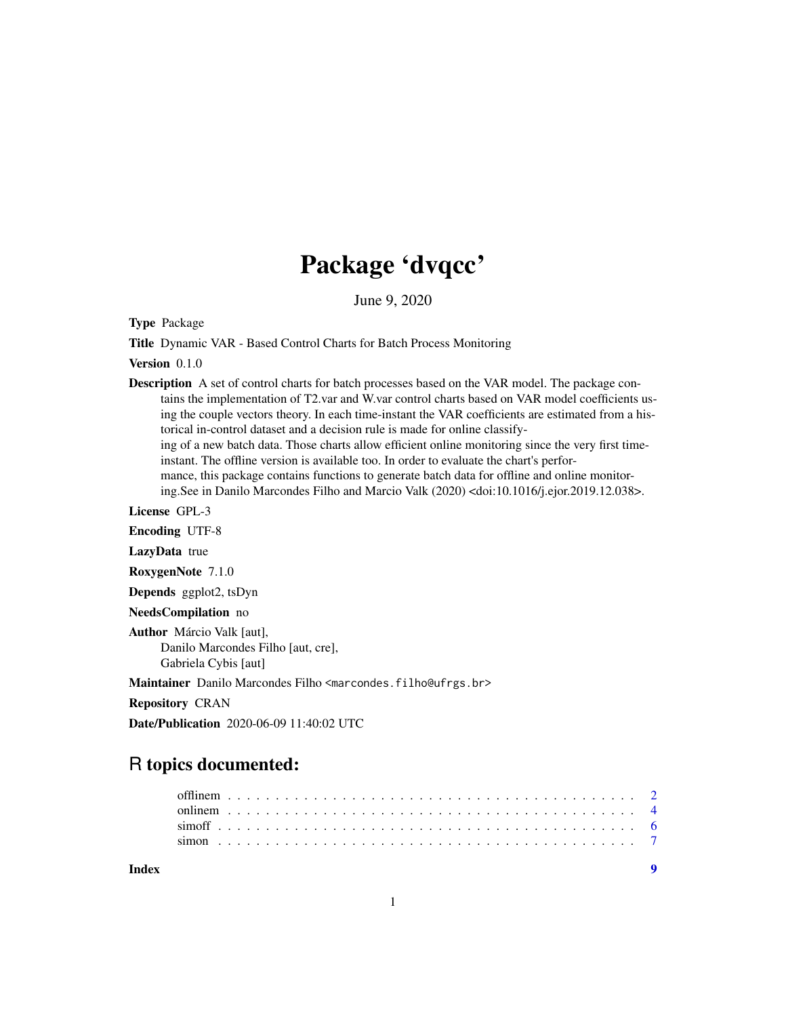## Package 'dvqcc'

June 9, 2020

Type Package

Title Dynamic VAR - Based Control Charts for Batch Process Monitoring

Version 0.1.0

Description A set of control charts for batch processes based on the VAR model. The package contains the implementation of T2.var and W.var control charts based on VAR model coefficients using the couple vectors theory. In each time-instant the VAR coefficients are estimated from a historical in-control dataset and a decision rule is made for online classifying of a new batch data. Those charts allow efficient online monitoring since the very first timeinstant. The offline version is available too. In order to evaluate the chart's performance, this package contains functions to generate batch data for offline and online monitoring.See in Danilo Marcondes Filho and Marcio Valk (2020) <doi:10.1016/j.ejor.2019.12.038>.

License GPL-3

Encoding UTF-8

LazyData true

RoxygenNote 7.1.0

Depends ggplot2, tsDyn

NeedsCompilation no

Author Márcio Valk [aut], Danilo Marcondes Filho [aut, cre], Gabriela Cybis [aut]

Maintainer Danilo Marcondes Filho <marcondes.filho@ufrgs.br>

Repository CRAN

Date/Publication 2020-06-09 11:40:02 UTC

## R topics documented:

| Index |  |  |  |  |  |  |  |  |  |  |  |  |  |  |  |  |  |  |  |  |  |  |  |
|-------|--|--|--|--|--|--|--|--|--|--|--|--|--|--|--|--|--|--|--|--|--|--|--|
|       |  |  |  |  |  |  |  |  |  |  |  |  |  |  |  |  |  |  |  |  |  |  |  |
|       |  |  |  |  |  |  |  |  |  |  |  |  |  |  |  |  |  |  |  |  |  |  |  |
|       |  |  |  |  |  |  |  |  |  |  |  |  |  |  |  |  |  |  |  |  |  |  |  |
|       |  |  |  |  |  |  |  |  |  |  |  |  |  |  |  |  |  |  |  |  |  |  |  |

1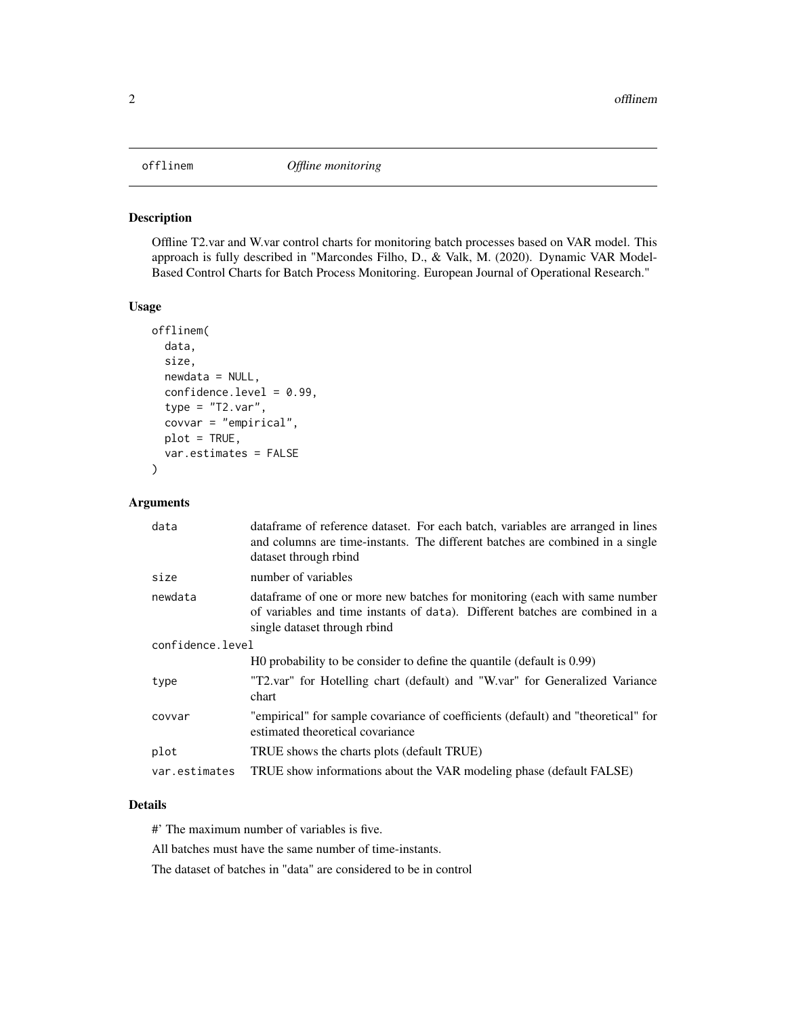#### <span id="page-1-0"></span>Description

Offline T2.var and W.var control charts for monitoring batch processes based on VAR model. This approach is fully described in "Marcondes Filho, D., & Valk, M. (2020). Dynamic VAR Model-Based Control Charts for Batch Process Monitoring. European Journal of Operational Research."

#### Usage

```
offlinem(
  data,
  size,
  newdata = NULL,
  confidence.level = 0.99,
  type = "T2.var",
  covvar = "empirical",
 plot = TRUE,
  var.estimates = FALSE
)
```
#### Arguments

| data             | dataframe of reference dataset. For each batch, variables are arranged in lines<br>and columns are time-instants. The different batches are combined in a single<br>dataset through rbind   |
|------------------|---------------------------------------------------------------------------------------------------------------------------------------------------------------------------------------------|
| size             | number of variables                                                                                                                                                                         |
| newdata          | data frame of one or more new batches for monitoring (each with same number<br>of variables and time instants of data). Different batches are combined in a<br>single dataset through rbind |
| confidence.level |                                                                                                                                                                                             |
|                  | HO probability to be consider to define the quantile (default is 0.99)                                                                                                                      |
| type             | "T2.var" for Hotelling chart (default) and "W.var" for Generalized Variance<br>chart                                                                                                        |
| covvar           | "empirical" for sample covariance of coefficients (default) and "theoretical" for<br>estimated theoretical covariance                                                                       |
| plot             | TRUE shows the charts plots (default TRUE)                                                                                                                                                  |
| var.estimates    | TRUE show informations about the VAR modeling phase (default FALSE)                                                                                                                         |

### Details

#' The maximum number of variables is five.

All batches must have the same number of time-instants.

The dataset of batches in "data" are considered to be in control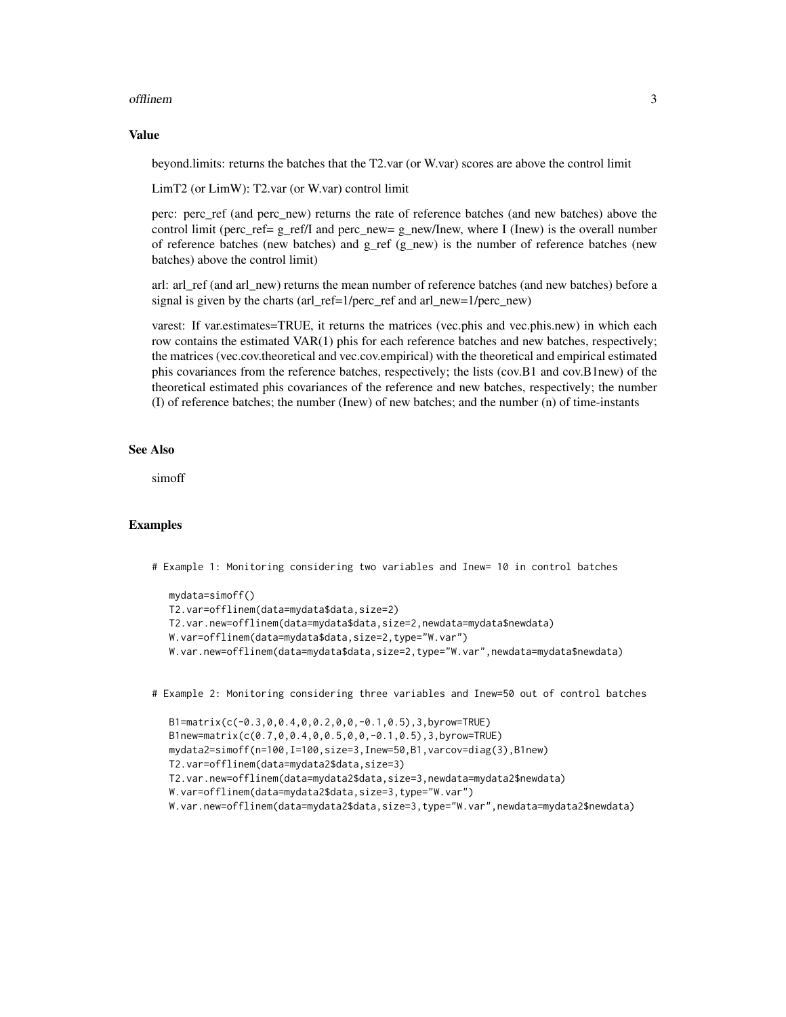#### offlinem 3

#### Value

beyond.limits: returns the batches that the T2.var (or W.var) scores are above the control limit

LimT2 (or LimW): T2.var (or W.var) control limit

perc: perc ref (and perc new) returns the rate of reference batches (and new batches) above the control limit (perc\_ref=  $g$ \_ref/I and perc\_new=  $g$ \_new/Inew, where I (Inew) is the overall number of reference batches (new batches) and g\_ref (g\_new) is the number of reference batches (new batches) above the control limit)

arl: arl ref (and arl new) returns the mean number of reference batches (and new batches) before a signal is given by the charts (arl\_ref=1/perc\_ref and arl\_new=1/perc\_new)

varest: If var.estimates=TRUE, it returns the matrices (vec.phis and vec.phis.new) in which each row contains the estimated VAR(1) phis for each reference batches and new batches, respectively; the matrices (vec.cov.theoretical and vec.cov.empirical) with the theoretical and empirical estimated phis covariances from the reference batches, respectively; the lists (cov.B1 and cov.B1new) of the theoretical estimated phis covariances of the reference and new batches, respectively; the number (I) of reference batches; the number (Inew) of new batches; and the number (n) of time-instants

#### See Also

simoff

#### Examples

# Example 1: Monitoring considering two variables and Inew= 10 in control batches

```
mydata=simoff()
T2.var=offlinem(data=mydata$data,size=2)
T2.var.new=offlinem(data=mydata$data,size=2,newdata=mydata$newdata)
W.var=offlinem(data=mydata$data,size=2,type="W.var")
W.var.new=offlinem(data=mydata$data,size=2,type="W.var",newdata=mydata$newdata)
```
# Example 2: Monitoring considering three variables and Inew=50 out of control batches

```
B1=matrix(c(-0.3,0,0.4,0,0.2,0,0,-0.1,0.5),3,byrow=TRUE)
B1new=matrix(c(0.7,0,0.4,0,0.5,0,0,-0.1,0.5),3,byrow=TRUE)
mydata2=simoff(n=100,I=100,size=3,Inew=50,B1,varcov=diag(3),B1new)
T2.var=offlinem(data=mydata2$data,size=3)
T2.var.new=offlinem(data=mydata2$data,size=3,newdata=mydata2$newdata)
W.var=offlinem(data=mydata2$data,size=3,type="W.var")
W.var.new=offlinem(data=mydata2$data,size=3,type="W.var",newdata=mydata2$newdata)
```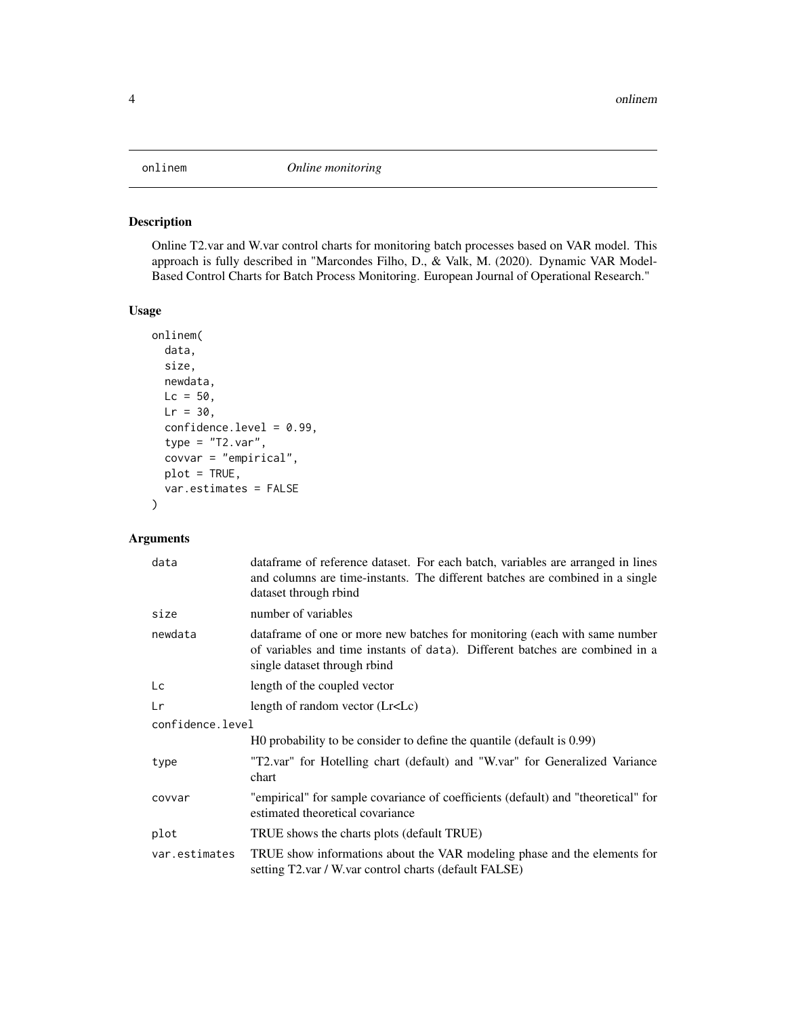#### <span id="page-3-0"></span>Description

Online T2.var and W.var control charts for monitoring batch processes based on VAR model. This approach is fully described in "Marcondes Filho, D., & Valk, M. (2020). Dynamic VAR Model-Based Control Charts for Batch Process Monitoring. European Journal of Operational Research."

### Usage

```
onlinem(
  data,
  size,
 newdata,
 Lc = 50,
 Lr = 30,
  confidence.level = 0.99,
  type = "T2.var",covvar = "empirical",
 plot = TRUE,
  var.estimates = FALSE
)
```
#### Arguments

| data             | data frame of reference dataset. For each batch, variables are arranged in lines<br>and columns are time-instants. The different batches are combined in a single<br>dataset through rbind  |
|------------------|---------------------------------------------------------------------------------------------------------------------------------------------------------------------------------------------|
| size             | number of variables                                                                                                                                                                         |
| newdata          | data frame of one or more new batches for monitoring (each with same number<br>of variables and time instants of data). Different batches are combined in a<br>single dataset through rbind |
| Lc               | length of the coupled vector                                                                                                                                                                |
| Lr               | length of random vector (Lr <lc)< td=""></lc)<>                                                                                                                                             |
| confidence.level |                                                                                                                                                                                             |
|                  | HO probability to be consider to define the quantile (default is 0.99)                                                                                                                      |
| type             | "T2.var" for Hotelling chart (default) and "W.var" for Generalized Variance<br>chart                                                                                                        |
| covvar           | "empirical" for sample covariance of coefficients (default) and "theoretical" for<br>estimated theoretical covariance                                                                       |
| plot             | TRUE shows the charts plots (default TRUE)                                                                                                                                                  |
| var.estimates    | TRUE show informations about the VAR modeling phase and the elements for<br>setting T2.var / W.var control charts (default FALSE)                                                           |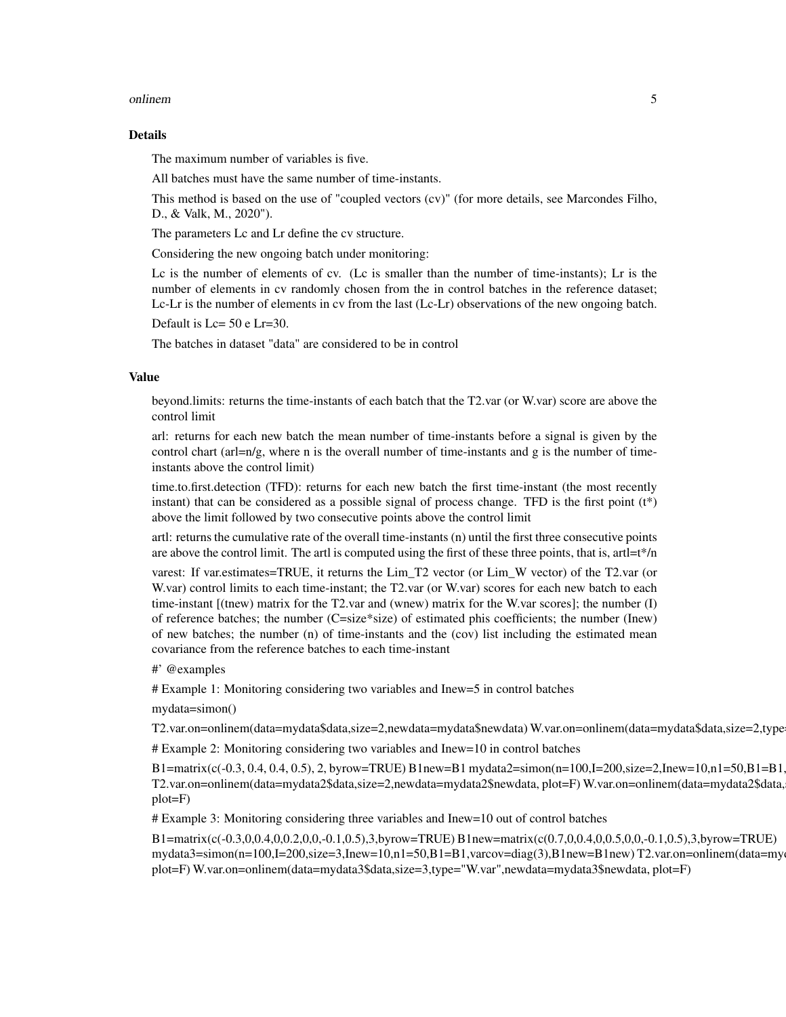#### onlinem 5

#### Details

The maximum number of variables is five.

All batches must have the same number of time-instants.

This method is based on the use of "coupled vectors (cv)" (for more details, see Marcondes Filho, D., & Valk, M., 2020").

The parameters Lc and Lr define the cv structure.

Considering the new ongoing batch under monitoring:

Lc is the number of elements of cv. (Lc is smaller than the number of time-instants); Lr is the number of elements in cv randomly chosen from the in control batches in the reference dataset; Lc-Lr is the number of elements in cv from the last (Lc-Lr) observations of the new ongoing batch.

Default is Lc= 50 e Lr=30.

The batches in dataset "data" are considered to be in control

#### Value

beyond.limits: returns the time-instants of each batch that the T2.var (or W.var) score are above the control limit

arl: returns for each new batch the mean number of time-instants before a signal is given by the control chart (arl=n/g, where n is the overall number of time-instants and g is the number of timeinstants above the control limit)

time.to.first.detection (TFD): returns for each new batch the first time-instant (the most recently instant) that can be considered as a possible signal of process change. TFD is the first point (t\*) above the limit followed by two consecutive points above the control limit

artl: returns the cumulative rate of the overall time-instants (n) until the first three consecutive points are above the control limit. The artl is computed using the first of these three points, that is, artl $=t^*/n$ 

varest: If var.estimates=TRUE, it returns the Lim\_T2 vector (or Lim\_W vector) of the T2.var (or W.var) control limits to each time-instant; the T2.var (or W.var) scores for each new batch to each time-instant [(tnew) matrix for the T2.var and (wnew) matrix for the W.var scores]; the number (I) of reference batches; the number (C=size\*size) of estimated phis coefficients; the number (Inew) of new batches; the number (n) of time-instants and the (cov) list including the estimated mean covariance from the reference batches to each time-instant

#' @examples

# Example 1: Monitoring considering two variables and Inew=5 in control batches

mydata=simon()

T2.var.on=onlinem(data=mydata\$data,size=2,newdata=mydata\$newdata) W.var.on=onlinem(data=mydata\$data,size=2,type

# Example 2: Monitoring considering two variables and Inew=10 in control batches

 $B1 = matrix(c(-0.3, 0.4, 0.4, 0.5), 2, by row = TRUE) B1 new = B1 my data2 = simon(n=100, I=200, size=2, Inew=10, n1=50, B1=B1, w2=0, S1=0, S2=0, S1=0, S3=0, S4=0, S5=0, S5=0, S6=0, S7=0, S8=0, S8=0, S9=0, S1=0, S1=0, S2=0, S3=0, S4=0, S5=0, S6=0, S7=0, S8=0, S9=0, S1=0, S1=0, S1=0, S2=0, S3=0, S4$ T2.var.on=onlinem(data=mydata2\$data,size=2,newdata=mydata2\$newdata, plot=F) W.var.on=onlinem(data=mydata2\$data, plot=F)

# Example 3: Monitoring considering three variables and Inew=10 out of control batches

B1=matrix(c(-0.3,0,0.4,0,0.2,0,0,-0.1,0.5),3,byrow=TRUE) B1new=matrix(c(0.7,0,0.4,0,0.5,0,0,-0.1,0.5),3,byrow=TRUE) mydata3=simon(n=100,I=200,size=3,Inew=10,n1=50,B1=B1,varcov=diag(3),B1new=B1new) T2.var.on=onlinem(data=my plot=F) W.var.on=onlinem(data=mydata3\$data,size=3,type="W.var",newdata=mydata3\$newdata, plot=F)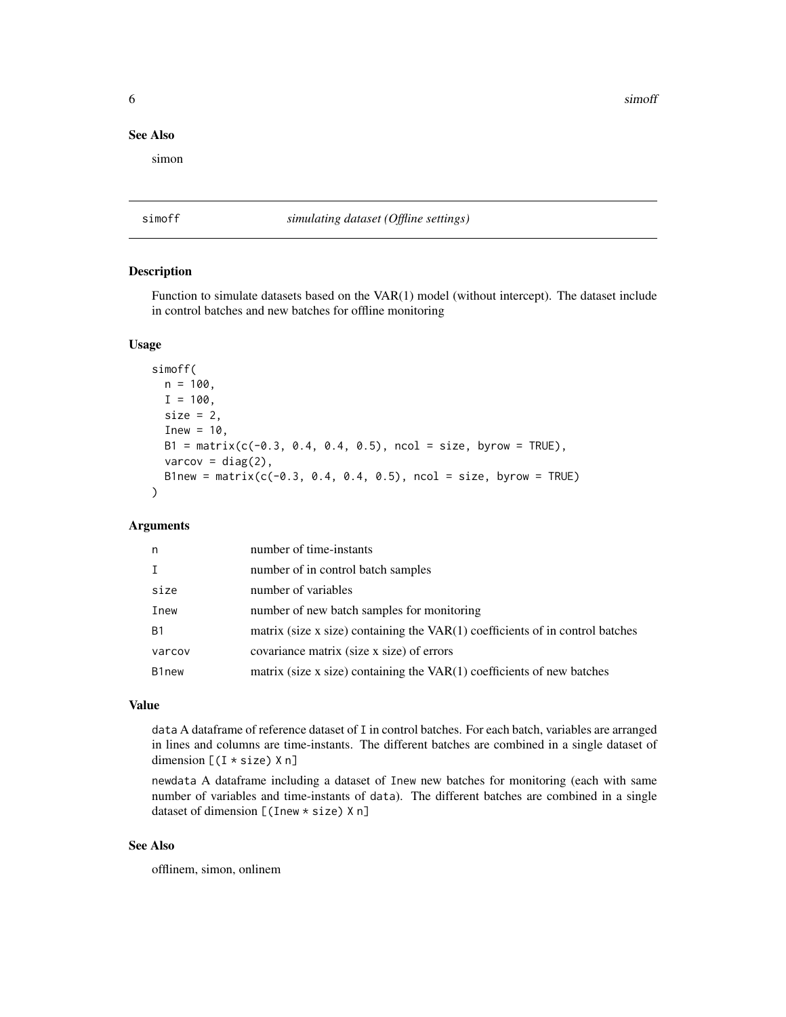<span id="page-5-0"></span>**6** simoff

#### See Also

simon

simoff *simulating dataset (Offline settings)*

#### Description

Function to simulate datasets based on the VAR(1) model (without intercept). The dataset include in control batches and new batches for offline monitoring

#### Usage

```
simoff(
 n = 100.
  I = 100.
  size = 2,Inew = 10,
 B1 = matrix(c(-0.3, 0.4, 0.4, 0.5), ncol = size, byrow = TRUE),varcov = diag(2),
 B1new = matrix(c(-0.3, 0.4, 0.4, 0.5), ncol = size, byrow = TRUE)
)
```
#### Arguments

| n         | number of time-instants                                                         |
|-----------|---------------------------------------------------------------------------------|
|           | number of in control batch samples                                              |
| size      | number of variables                                                             |
| Inew      | number of new batch samples for monitoring                                      |
| <b>B1</b> | matrix (size x size) containing the $VAR(1)$ coefficients of in control batches |
| varcov    | covariance matrix (size x size) of errors                                       |
| B1new     | matrix (size x size) containing the $VAR(1)$ coefficients of new batches        |

#### Value

data A dataframe of reference dataset of I in control batches. For each batch, variables are arranged in lines and columns are time-instants. The different batches are combined in a single dataset of dimension [(I \* size) X n]

newdata A dataframe including a dataset of Inew new batches for monitoring (each with same number of variables and time-instants of data). The different batches are combined in a single dataset of dimension [(Inew \* size) X n]

#### See Also

offlinem, simon, onlinem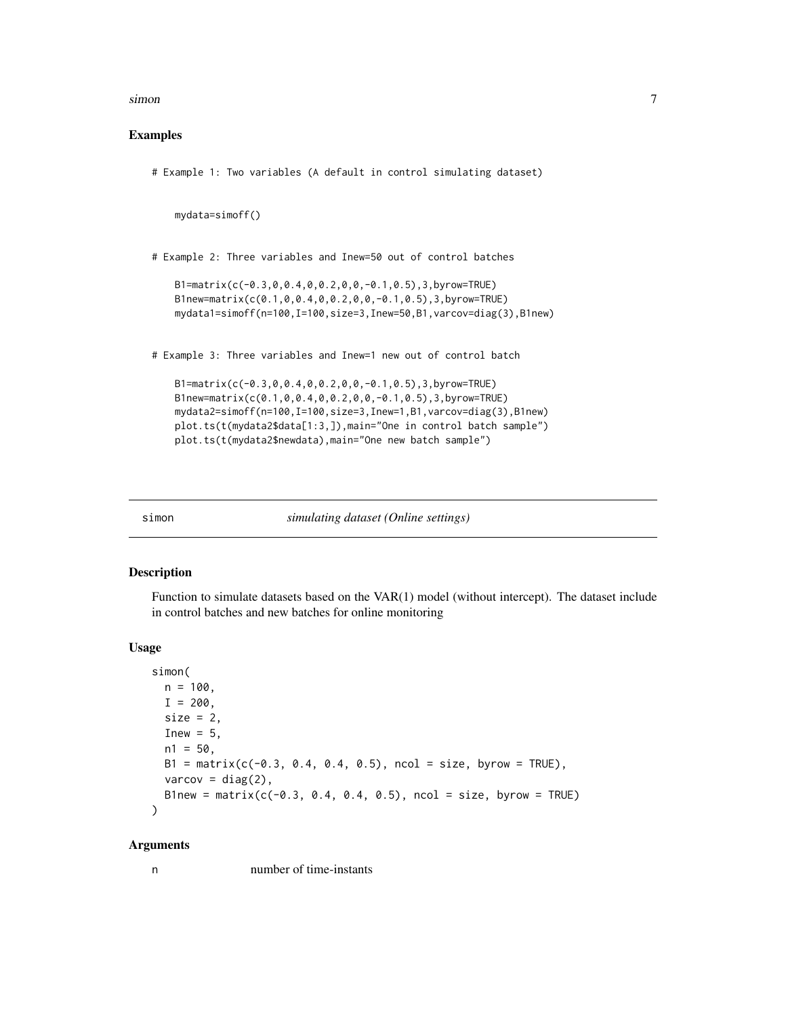<span id="page-6-0"></span>simon 7 and 7 and 7 and 7 and 7 and 7 and 7 and 7 and 7 and 7 and 7 and 7 and 7 and 7 and 7 and 7 and 7 and 7 and 7 and 7 and 7 and 7 and 7 and 7 and 7 and 7 and 7 and 7 and 7 and 7 and 7 and 7 and 7 and 7 and 7 and 7 and

#### Examples

# Example 1: Two variables (A default in control simulating dataset)

mydata=simoff()

# Example 2: Three variables and Inew=50 out of control batches

```
B1=matrix(c(-0.3,0,0.4,0,0.2,0,0,-0.1,0.5),3,byrow=TRUE)
B1new=matrix(c(0.1,0,0.4,0,0.2,0,0,-0.1,0.5),3,byrow=TRUE)
mydata1=simoff(n=100,I=100,size=3,Inew=50,B1,varcov=diag(3),B1new)
```
# Example 3: Three variables and Inew=1 new out of control batch

```
B1=matrix(c(-0.3,0,0.4,0,0.2,0,0,-0.1,0.5),3,byrow=TRUE)
B1new=matrix(c(0.1,0,0.4,0,0.2,0,0,-0.1,0.5),3,byrow=TRUE)
mydata2=simoff(n=100,I=100,size=3,Inew=1,B1,varcov=diag(3),B1new)
plot.ts(t(mydata2$data[1:3,]),main="One in control batch sample")
plot.ts(t(mydata2$newdata),main="One new batch sample")
```
simon *simulating dataset (Online settings)*

#### Description

Function to simulate datasets based on the VAR(1) model (without intercept). The dataset include in control batches and new batches for online monitoring

#### Usage

```
simon(
 n = 100,
  I = 200,
  size = 2,
  Inew = 5,
  n1 = 50,
 B1 = matrix(c(-0.3, 0.4, 0.4, 0.5), ncol = size, byrow = TRUE),varcov = diag(2),
 B1new = matrix(c(-0.3, 0.4, 0.4, 0.5), ncol = size, byrow = TRUE)
)
```
#### Arguments

n number of time-instants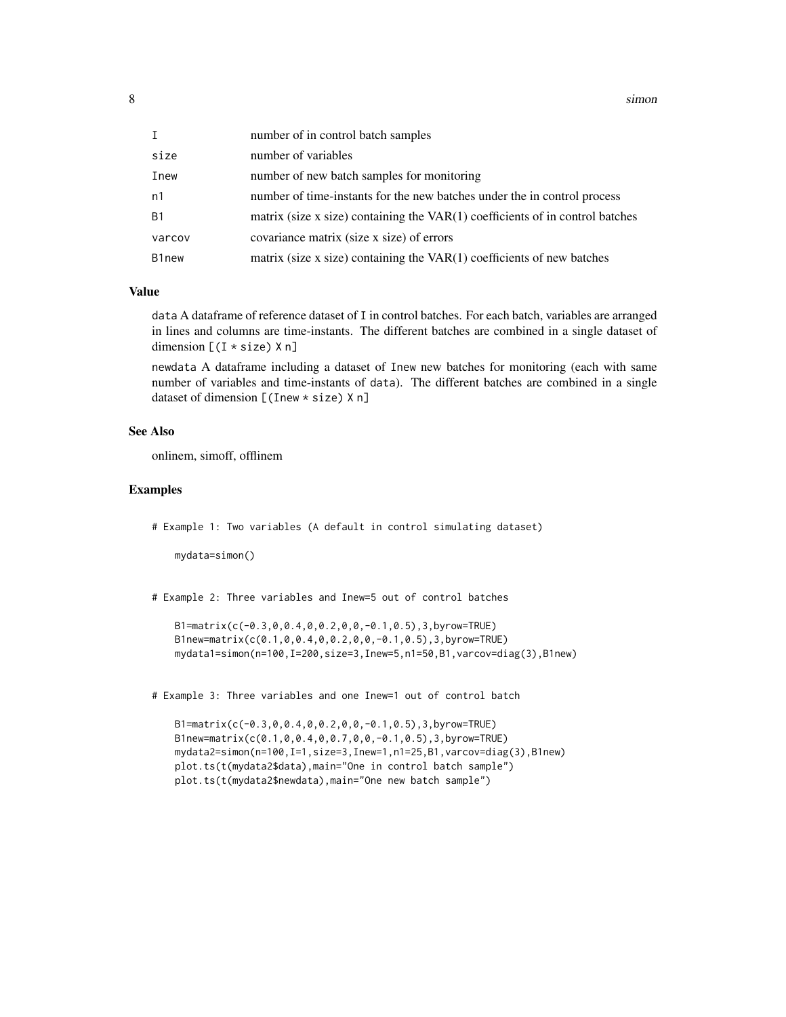8 simon simon simon simon simon simon simon simon simon simon simon simon simon simon simon simon simon simon

| I      | number of in control batch samples                                              |
|--------|---------------------------------------------------------------------------------|
| size   | number of variables                                                             |
| Inew   | number of new batch samples for monitoring                                      |
| n1     | number of time-instants for the new batches under the in control process        |
| Β1     | matrix (size x size) containing the $VAR(1)$ coefficients of in control batches |
| varcov | covariance matrix (size x size) of errors                                       |
| B1new  | matrix (size $x$ size) containing the $VAR(1)$ coefficients of new batches      |

#### Value

data A dataframe of reference dataset of I in control batches. For each batch, variables are arranged in lines and columns are time-instants. The different batches are combined in a single dataset of dimension  $[(I * size) X n]$ 

newdata A dataframe including a dataset of Inew new batches for monitoring (each with same number of variables and time-instants of data). The different batches are combined in a single dataset of dimension [(Inew \* size) X n]

#### See Also

onlinem, simoff, offlinem

#### Examples

# Example 1: Two variables (A default in control simulating dataset)

mydata=simon()

# Example 2: Three variables and Inew=5 out of control batches

B1=matrix(c(-0.3,0,0.4,0,0.2,0,0,-0.1,0.5),3,byrow=TRUE) B1new=matrix(c(0.1,0,0.4,0,0.2,0,0,-0.1,0.5),3,byrow=TRUE) mydata1=simon(n=100,I=200,size=3,Inew=5,n1=50,B1,varcov=diag(3),B1new)

# Example 3: Three variables and one Inew=1 out of control batch

B1=matrix(c(-0.3,0,0.4,0,0.2,0,0,-0.1,0.5),3,byrow=TRUE) B1new=matrix(c(0.1,0,0.4,0,0.7,0,0,-0.1,0.5),3,byrow=TRUE) mydata2=simon(n=100,I=1,size=3,Inew=1,n1=25,B1,varcov=diag(3),B1new) plot.ts(t(mydata2\$data),main="One in control batch sample") plot.ts(t(mydata2\$newdata),main="One new batch sample")